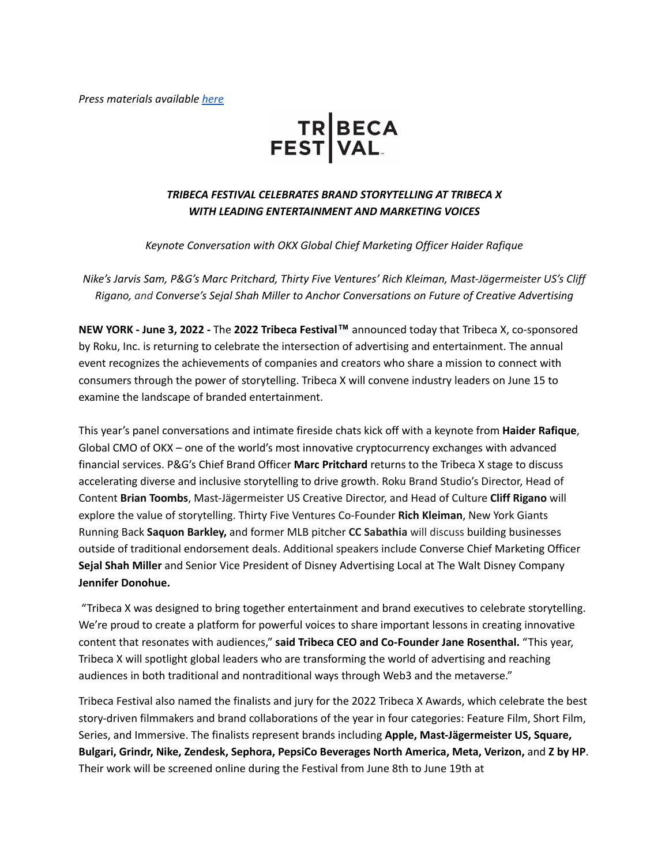*Press materials available [here](https://tribeca1.box.com/s/nviz6jrbb8sh773a5wh3ujzd2ew0hr59)*

# TR BECA<br>FEST VAL

# *TRIBECA FESTIVAL CELEBRATES BRAND STORYTELLING AT TRIBECA X WITH LEADING ENTERTAINMENT AND MARKETING VOICES*

*Keynote Conversation with OKX Global Chief Marketing Officer Haider Rafique*

*Nike's Jarvis Sam, P&G's Marc Pritchard, Thirty Five Ventures' Rich Kleiman, Mast-Jägermeister US's Cliff Rigano, and Converse's Sejal Shah Miller to Anchor Conversations on Future of Creative Advertising*

**NEW YORK - June 3, 2022 -** The **2022 Tribeca Festival™** announced today that Tribeca X, co-sponsored by Roku, Inc. is returning to celebrate the intersection of advertising and entertainment. The annual event recognizes the achievements of companies and creators who share a mission to connect with consumers through the power of storytelling. Tribeca X will convene industry leaders on June 15 to examine the landscape of branded entertainment.

This year's panel conversations and intimate fireside chats kick off with a keynote from **Haider Rafique**, Global CMO of OKX – one of the world's most innovative cryptocurrency exchanges with advanced financial services. P&G's Chief Brand Officer **Marc Pritchard** returns to the Tribeca X stage to discuss accelerating diverse and inclusive storytelling to drive growth. Roku Brand Studio's Director, Head of Content **Brian Toombs**, Mast-Jägermeister US Creative Director, and Head of Culture **Cliff Rigano** will explore the value of storytelling. Thirty Five Ventures Co-Founder **Rich Kleiman**, New York Giants Running Back **Saquon Barkley,** and former MLB pitcher **CC Sabathia** will discuss building businesses outside of traditional endorsement deals. Additional speakers include Converse Chief Marketing Officer **Sejal Shah Miller** and Senior Vice President of Disney Advertising Local at The Walt Disney Company **Jennifer Donohue.**

"Tribeca X was designed to bring together entertainment and brand executives to celebrate storytelling. We're proud to create a platform for powerful voices to share important lessons in creating innovative content that resonates with audiences," **said Tribeca CEO and Co-Founder Jane Rosenthal.** "This year, Tribeca X will spotlight global leaders who are transforming the world of advertising and reaching audiences in both traditional and nontraditional ways through Web3 and the metaverse."

Tribeca Festival also named the finalists and jury for the 2022 Tribeca X Awards, which celebrate the best story-driven filmmakers and brand collaborations of the year in four categories: Feature Film, Short Film, Series, and Immersive. The finalists represent brands including **Apple, Mast-Jägermeister US, Square, Bulgari, Grindr, Nike, Zendesk, Sephora, PepsiCo Beverages North America, Meta, Verizon,** and **Z by HP**. Their work will be screened online during the Festival from June 8th to June 19th at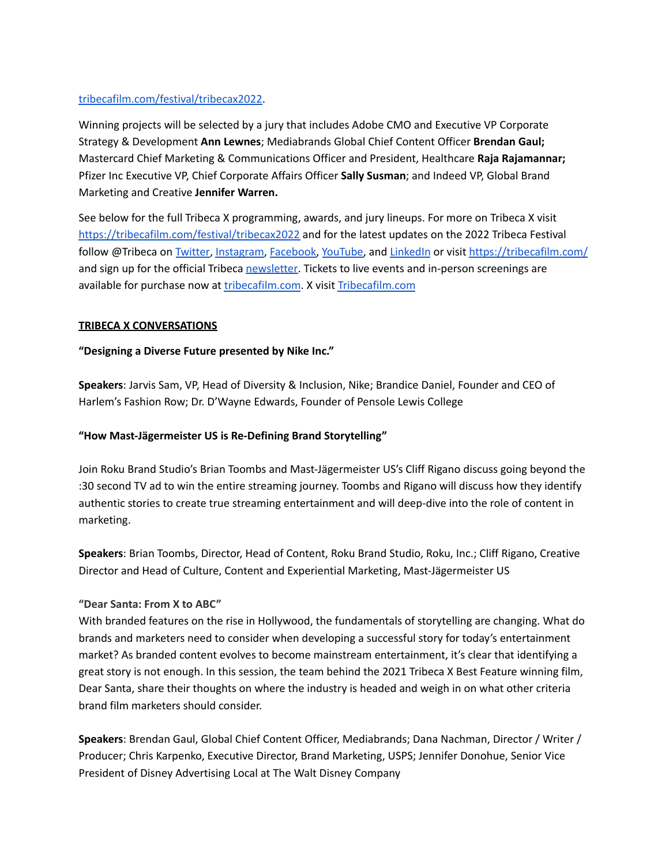## [tribecafilm.com/festival/tribecax2022](http://tribecafilm.com/festival/tribecax2022).

Winning projects will be selected by a jury that includes Adobe CMO and Executive VP Corporate Strategy & Development **Ann Lewnes**; Mediabrands Global Chief Content Officer **Brendan Gaul;** Mastercard Chief Marketing & Communications Officer and President, Healthcare **Raja Rajamannar;** Pfizer Inc Executive VP, Chief Corporate Affairs Officer **Sally Susman**; and Indeed VP, Global Brand Marketing and Creative **Jennifer Warren.**

See below for the full Tribeca X programming, awards, and jury lineups. For more on Tribeca X visit <https://tribecafilm.com/festival/tribecax2022> and for the latest updates on the 2022 Tribeca Festival follow @Tribeca on [Twitter](https://twitter.com/tribeca), [Instagram,](https://www.instagram.com/tribeca/) [Facebook,](https://www.facebook.com/Tribeca) [YouTube,](https://www.youtube.com/channel/UCFUkZ2GHOziKjk8dwOT45fQ) and [LinkedIn](https://www.linkedin.com/company/tribeca-film-festival-nyc-llc) or visit <https://tribecafilm.com/> and sign up for the official Tribeca [newsletter.](https://tribecafilm.com/newsletter/sign-up) Tickets to live events and in-person screenings are available for purchase now at [tribecafilm.com](http://tribecafilm.com/festival/tickets). X visit [Tribecafilm.com](https://tribecafilm.com/festival/tribecax2022)

# **TRIBECA X CONVERSATIONS**

# **"Designing a Diverse Future presented by Nike Inc."**

**Speakers**: Jarvis Sam, VP, Head of Diversity & Inclusion, Nike; Brandice Daniel, Founder and CEO of Harlem's Fashion Row; Dr. D'Wayne Edwards, Founder of Pensole Lewis College

# **"How Mast-Jägermeister US is Re-Defining Brand Storytelling"**

Join Roku Brand Studio's Brian Toombs and Mast-Jägermeister US's Cliff Rigano discuss going beyond the :30 second TV ad to win the entire streaming journey. Toombs and Rigano will discuss how they identify authentic stories to create true streaming entertainment and will deep-dive into the role of content in marketing.

**Speakers**: Brian Toombs, Director, Head of Content, Roku Brand Studio, Roku, Inc.; Cliff Rigano, Creative Director and Head of Culture, Content and Experiential Marketing, Mast-Jägermeister US

## **"Dear Santa: From X to ABC"**

With branded features on the rise in Hollywood, the fundamentals of storytelling are changing. What do brands and marketers need to consider when developing a successful story for today's entertainment market? As branded content evolves to become mainstream entertainment, it's clear that identifying a great story is not enough. In this session, the team behind the 2021 Tribeca X Best Feature winning film, Dear Santa, share their thoughts on where the industry is headed and weigh in on what other criteria brand film marketers should consider.

**Speakers**: Brendan Gaul, Global Chief Content Officer, Mediabrands; Dana Nachman, Director / Writer / Producer; Chris Karpenko, Executive Director, Brand Marketing, USPS; Jennifer Donohue, Senior Vice President of Disney Advertising Local at The Walt Disney Company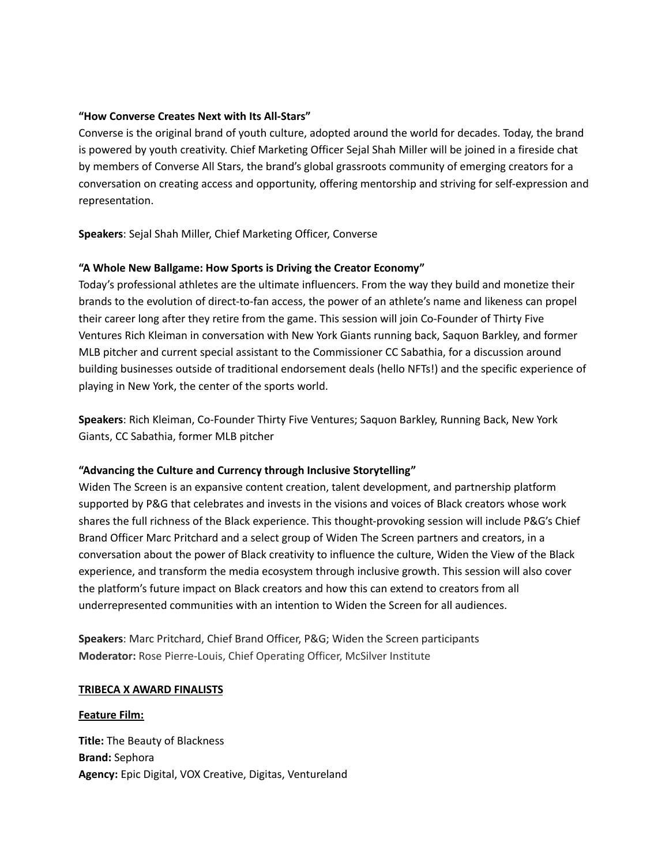## **"How Converse Creates Next with Its All-Stars"**

Converse is the original brand of youth culture, adopted around the world for decades. Today, the brand is powered by youth creativity. Chief Marketing Officer Sejal Shah Miller will be joined in a fireside chat by members of Converse All Stars, the brand's global grassroots community of emerging creators for a conversation on creating access and opportunity, offering mentorship and striving for self-expression and representation.

**Speakers**: Sejal Shah Miller, Chief Marketing Officer, Converse

## **"A Whole New Ballgame: How Sports is Driving the Creator Economy"**

Today's professional athletes are the ultimate influencers. From the way they build and monetize their brands to the evolution of direct-to-fan access, the power of an athlete's name and likeness can propel their career long after they retire from the game. This session will join Co-Founder of Thirty Five Ventures Rich Kleiman in conversation with New York Giants running back, Saquon Barkley, and former MLB pitcher and current special assistant to the Commissioner CC Sabathia, for a discussion around building businesses outside of traditional endorsement deals (hello NFTs!) and the specific experience of playing in New York, the center of the sports world.

**Speakers**: Rich Kleiman, Co-Founder Thirty Five Ventures; Saquon Barkley, Running Back, New York Giants, CC Sabathia, former MLB pitcher

#### **"Advancing the Culture and Currency through Inclusive Storytelling"**

Widen The Screen is an expansive content creation, talent development, and partnership platform supported by P&G that celebrates and invests in the visions and voices of Black creators whose work shares the full richness of the Black experience. This thought-provoking session will include P&G's Chief Brand Officer Marc Pritchard and a select group of Widen The Screen partners and creators, in a conversation about the power of Black creativity to influence the culture, Widen the View of the Black experience, and transform the media ecosystem through inclusive growth. This session will also cover the platform's future impact on Black creators and how this can extend to creators from all underrepresented communities with an intention to Widen the Screen for all audiences.

**Speakers**: Marc Pritchard, Chief Brand Officer, P&G; Widen the Screen participants **Moderator:** Rose Pierre-Louis, Chief Operating Officer, McSilver Institute

#### **TRIBECA X AWARD FINALISTS**

#### **Feature Film:**

**Title:** The Beauty of Blackness **Brand:** Sephora **Agency:** Epic Digital, VOX Creative, Digitas, Ventureland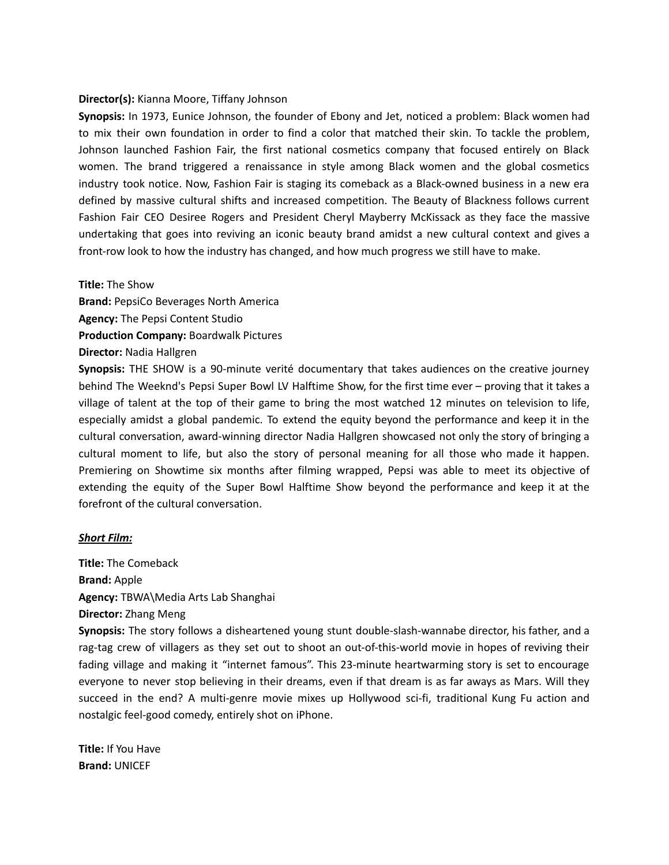## **Director(s):** Kianna Moore, Tiffany Johnson

**Synopsis:** In 1973, Eunice Johnson, the founder of Ebony and Jet, noticed a problem: Black women had to mix their own foundation in order to find a color that matched their skin. To tackle the problem, Johnson launched Fashion Fair, the first national cosmetics company that focused entirely on Black women. The brand triggered a renaissance in style among Black women and the global cosmetics industry took notice. Now, Fashion Fair is staging its comeback as a Black-owned business in a new era defined by massive cultural shifts and increased competition. The Beauty of Blackness follows current Fashion Fair CEO Desiree Rogers and President Cheryl Mayberry McKissack as they face the massive undertaking that goes into reviving an iconic beauty brand amidst a new cultural context and gives a front-row look to how the industry has changed, and how much progress we still have to make.

**Title:** The Show

**Brand:** PepsiCo Beverages North America **Agency:** The Pepsi Content Studio **Production Company:** Boardwalk Pictures

**Director:** Nadia Hallgren

**Synopsis:** THE SHOW is a 90-minute verité documentary that takes audiences on the creative journey behind The Weeknd's Pepsi Super Bowl LV Halftime Show, for the first time ever – proving that it takes a village of talent at the top of their game to bring the most watched 12 minutes on television to life, especially amidst a global pandemic. To extend the equity beyond the performance and keep it in the cultural conversation, award-winning director Nadia Hallgren showcased not only the story of bringing a cultural moment to life, but also the story of personal meaning for all those who made it happen. Premiering on Showtime six months after filming wrapped, Pepsi was able to meet its objective of extending the equity of the Super Bowl Halftime Show beyond the performance and keep it at the forefront of the cultural conversation.

#### *Short Film:*

**Title:** The Comeback **Brand:** Apple **Agency:** TBWA\Media Arts Lab Shanghai **Director:** Zhang Meng

**Synopsis:** The story follows a disheartened young stunt double-slash-wannabe director, his father, and a rag-tag crew of villagers as they set out to shoot an out-of-this-world movie in hopes of reviving their fading village and making it "internet famous". This 23-minute heartwarming story is set to encourage everyone to never stop believing in their dreams, even if that dream is as far aways as Mars. Will they succeed in the end? A multi-genre movie mixes up Hollywood sci-fi, traditional Kung Fu action and nostalgic feel-good comedy, entirely shot on iPhone.

**Title:** If You Have **Brand:** UNICEF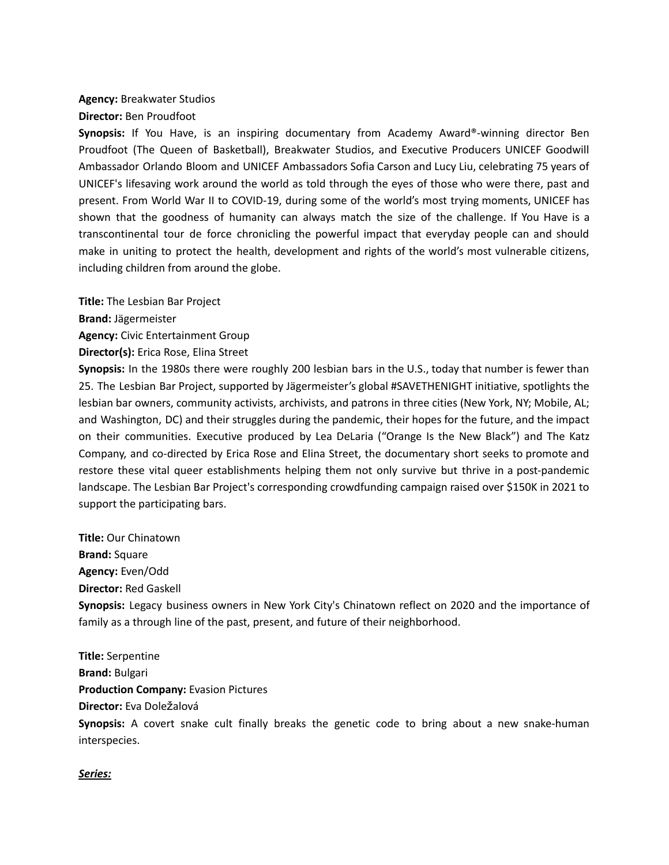# **Agency:** Breakwater Studios

**Director:** Ben Proudfoot

**Synopsis:** If You Have, is an inspiring documentary from Academy Award®-winning director Ben Proudfoot (The Queen of Basketball), Breakwater Studios, and Executive Producers UNICEF Goodwill Ambassador Orlando Bloom and UNICEF Ambassadors Sofia Carson and Lucy Liu, celebrating 75 years of UNICEF's lifesaving work around the world as told through the eyes of those who were there, past and present. From World War II to COVID-19, during some of the world's most trying moments, UNICEF has shown that the goodness of humanity can always match the size of the challenge. If You Have is a transcontinental tour de force chronicling the powerful impact that everyday people can and should make in uniting to protect the health, development and rights of the world's most vulnerable citizens, including children from around the globe.

**Title:** The Lesbian Bar Project

**Brand:** Jägermeister

**Agency:** Civic Entertainment Group

**Director(s):** Erica Rose, Elina Street

**Synopsis:** In the 1980s there were roughly 200 lesbian bars in the U.S., today that number is fewer than 25. The Lesbian Bar Project, supported by Jägermeister's global #SAVETHENIGHT initiative, spotlights the lesbian bar owners, community activists, archivists, and patrons in three cities (New York, NY; Mobile, AL; and Washington, DC) and their struggles during the pandemic, their hopes for the future, and the impact on their communities. Executive produced by Lea DeLaria ("Orange Is the New Black") and The Katz Company, and co-directed by Erica Rose and Elina Street, the documentary short seeks to promote and restore these vital queer establishments helping them not only survive but thrive in a post-pandemic landscape. The Lesbian Bar Project's corresponding crowdfunding campaign raised over \$150K in 2021 to support the participating bars.

**Title:** Our Chinatown **Brand:** Square **Agency:** Even/Odd **Director:** Red Gaskell **Synopsis:** Legacy business owners in New York City's Chinatown reflect on 2020 and the importance of family as a through line of the past, present, and future of their neighborhood.

**Title:** Serpentine **Brand:** Bulgari **Production Company:** Evasion Pictures **Director:** Eva Doležalová **Synopsis:** A covert snake cult finally breaks the genetic code to bring about a new snake-human interspecies.

#### *Series:*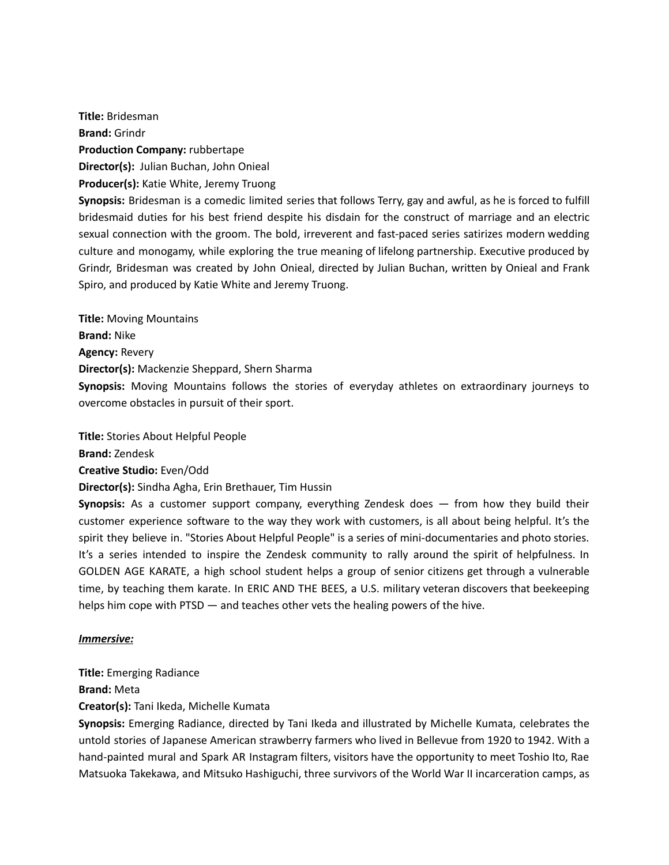**Title:** Bridesman **Brand:** Grindr **Production Company:** rubbertape **Director(s):** Julian Buchan, John Onieal **Producer(s):** Katie White, Jeremy Truong **Synopsis:** Bridesman is a comedic limited series that follows Terry, gay and awful, as he is forced to fulfill

bridesmaid duties for his best friend despite his disdain for the construct of marriage and an electric sexual connection with the groom. The bold, irreverent and fast-paced series satirizes modern wedding culture and monogamy, while exploring the true meaning of lifelong partnership. Executive produced by Grindr, Bridesman was created by John Onieal, directed by Julian Buchan, written by Onieal and Frank Spiro, and produced by Katie White and Jeremy Truong.

**Title:** Moving Mountains **Brand:** Nike **Agency:** Revery **Director(s):** Mackenzie Sheppard, Shern Sharma **Synopsis:** Moving Mountains follows the stories of everyday athletes on extraordinary journeys to overcome obstacles in pursuit of their sport.

**Title:** Stories About Helpful People

**Brand:** Zendesk

**Creative Studio:** Even/Odd

**Director(s):** Sindha Agha, Erin Brethauer, Tim Hussin

**Synopsis:** As a customer support company, everything Zendesk does — from how they build their customer experience software to the way they work with customers, is all about being helpful. It's the spirit they believe in. "Stories About Helpful People" is a series of mini-documentaries and photo stories. It's a series intended to inspire the Zendesk community to rally around the spirit of helpfulness. In GOLDEN AGE KARATE, a high school student helps a group of senior citizens get through a vulnerable time, by teaching them karate. In ERIC AND THE BEES, a U.S. military veteran discovers that beekeeping helps him cope with PTSD — and teaches other vets the healing powers of the hive.

## *Immersive:*

**Title:** Emerging Radiance

**Brand:** Meta

**Creator(s):** Tani Ikeda, Michelle Kumata

**Synopsis:** Emerging Radiance, directed by Tani Ikeda and illustrated by Michelle Kumata, celebrates the untold stories of Japanese American strawberry farmers who lived in Bellevue from 1920 to 1942. With a hand-painted mural and Spark AR Instagram filters, visitors have the opportunity to meet Toshio Ito, Rae Matsuoka Takekawa, and Mitsuko Hashiguchi, three survivors of the World War II incarceration camps, as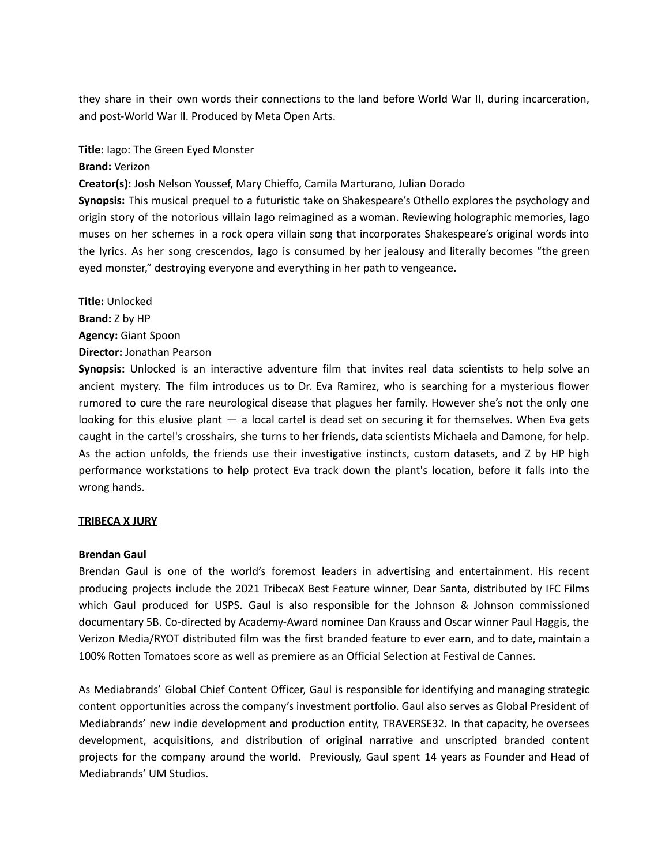they share in their own words their connections to the land before World War II, during incarceration, and post-World War II. Produced by Meta Open Arts.

**Title:** Iago: The Green Eyed Monster

## **Brand:** Verizon

**Creator(s):** Josh Nelson Youssef, Mary Chieffo, Camila Marturano, Julian Dorado

**Synopsis:** This musical prequel to a futuristic take on Shakespeare's Othello explores the psychology and origin story of the notorious villain Iago reimagined as a woman. Reviewing holographic memories, Iago muses on her schemes in a rock opera villain song that incorporates Shakespeare's original words into the lyrics. As her song crescendos, Iago is consumed by her jealousy and literally becomes "the green eyed monster," destroying everyone and everything in her path to vengeance.

**Title:** Unlocked **Brand:** Z by HP **Agency:** Giant Spoon **Director:** Jonathan Pearson

**Synopsis:** Unlocked is an interactive adventure film that invites real data scientists to help solve an ancient mystery. The film introduces us to Dr. Eva Ramirez, who is searching for a mysterious flower rumored to cure the rare neurological disease that plagues her family. However she's not the only one looking for this elusive plant — a local cartel is dead set on securing it for themselves. When Eva gets caught in the cartel's crosshairs, she turns to her friends, data scientists Michaela and Damone, for help. As the action unfolds, the friends use their investigative instincts, custom datasets, and Z by HP high performance workstations to help protect Eva track down the plant's location, before it falls into the wrong hands.

## **TRIBECA X JURY**

#### **Brendan Gaul**

Brendan Gaul is one of the world's foremost leaders in advertising and entertainment. His recent producing projects include the 2021 TribecaX Best Feature winner, Dear Santa, distributed by IFC Films which Gaul produced for USPS. Gaul is also responsible for the Johnson & Johnson commissioned documentary 5B. Co-directed by Academy-Award nominee Dan Krauss and Oscar winner Paul Haggis, the Verizon Media/RYOT distributed film was the first branded feature to ever earn, and to date, maintain a 100% Rotten Tomatoes score as well as premiere as an Official Selection at Festival de Cannes.

As Mediabrands' Global Chief Content Officer, Gaul is responsible for identifying and managing strategic content opportunities across the company's investment portfolio. Gaul also serves as Global President of Mediabrands' new indie development and production entity, TRAVERSE32. In that capacity, he oversees development, acquisitions, and distribution of original narrative and unscripted branded content projects for the company around the world. Previously, Gaul spent 14 years as Founder and Head of Mediabrands' UM Studios.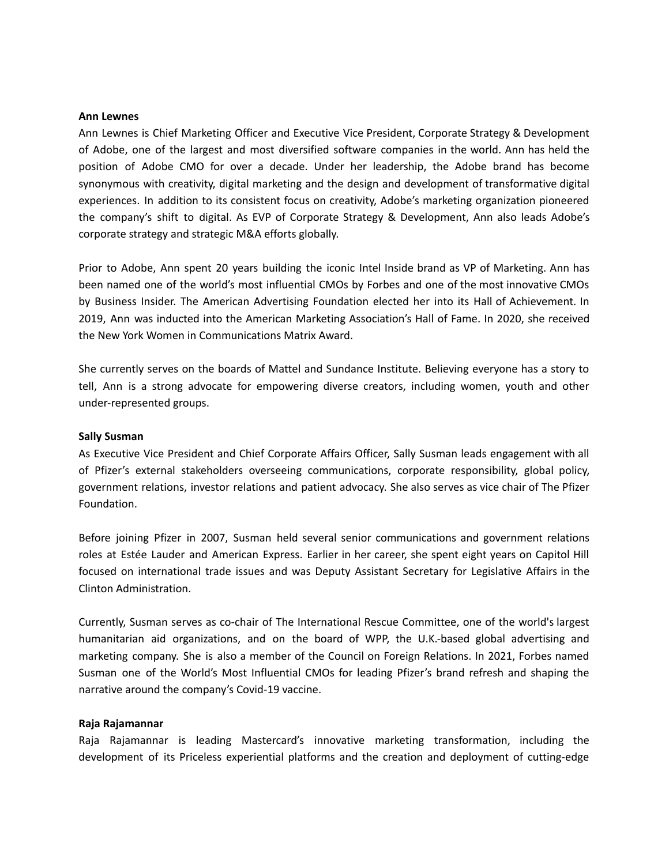#### **Ann Lewnes**

Ann Lewnes is Chief Marketing Officer and Executive Vice President, Corporate Strategy & Development of Adobe, one of the largest and most diversified software companies in the world. Ann has held the position of Adobe CMO for over a decade. Under her leadership, the Adobe brand has become synonymous with creativity, digital marketing and the design and development of transformative digital experiences. In addition to its consistent focus on creativity, Adobe's marketing organization pioneered the company's shift to digital. As EVP of Corporate Strategy & Development, Ann also leads Adobe's corporate strategy and strategic M&A efforts globally.

Prior to Adobe, Ann spent 20 years building the iconic Intel Inside brand as VP of Marketing. Ann has been named one of the world's most influential CMOs by Forbes and one of the most innovative CMOs by Business Insider. The American Advertising Foundation elected her into its Hall of Achievement. In 2019, Ann was inducted into the American Marketing Association's Hall of Fame. In 2020, she received the New York Women in Communications Matrix Award.

She currently serves on the boards of Mattel and Sundance Institute. Believing everyone has a story to tell, Ann is a strong advocate for empowering diverse creators, including women, youth and other under-represented groups.

#### **Sally Susman**

As Executive Vice President and Chief Corporate Affairs Officer, Sally Susman leads engagement with all of Pfizer's external stakeholders overseeing communications, corporate responsibility, global policy, government relations, investor relations and patient advocacy. She also serves as vice chair of The Pfizer Foundation.

Before joining Pfizer in 2007, Susman held several senior communications and government relations roles at Estée Lauder and American Express. Earlier in her career, she spent eight years on Capitol Hill focused on international trade issues and was Deputy Assistant Secretary for Legislative Affairs in the Clinton Administration.

Currently, Susman serves as co-chair of The International Rescue Committee, one of the world's largest humanitarian aid organizations, and on the board of WPP, the U.K.-based global advertising and marketing company. She is also a member of the Council on Foreign Relations. In 2021, Forbes named Susman one of the World's Most Influential CMOs for leading Pfizer's brand refresh and shaping the narrative around the company's Covid-19 vaccine.

#### **Raja Rajamannar**

Raja Rajamannar is leading Mastercard's innovative marketing transformation, including the development of its Priceless experiential platforms and the creation and deployment of cutting-edge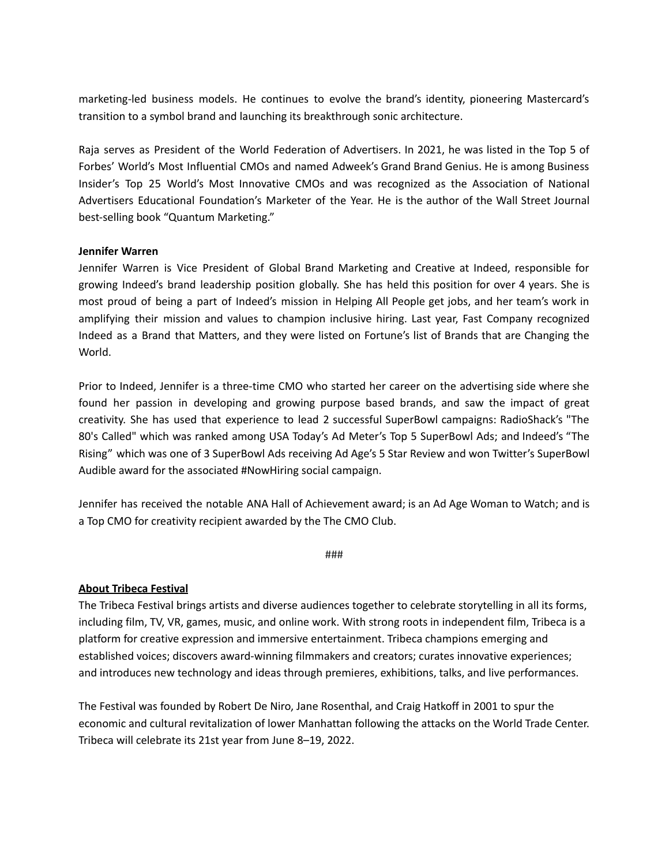marketing-led business models. He continues to evolve the brand's identity, pioneering Mastercard's transition to a symbol brand and launching its breakthrough sonic architecture.

Raja serves as President of the World Federation of Advertisers. In 2021, he was listed in the Top 5 of Forbes' World's Most Influential CMOs and named Adweek's Grand Brand Genius. He is among Business Insider's Top 25 World's Most Innovative CMOs and was recognized as the Association of National Advertisers Educational Foundation's Marketer of the Year. He is the author of the Wall Street Journal best-selling book "Quantum Marketing."

## **Jennifer Warren**

Jennifer Warren is Vice President of Global Brand Marketing and Creative at Indeed, responsible for growing Indeed's brand leadership position globally. She has held this position for over 4 years. She is most proud of being a part of Indeed's mission in Helping All People get jobs, and her team's work in amplifying their mission and values to champion inclusive hiring. Last year, Fast Company recognized Indeed as a Brand that Matters, and they were listed on Fortune's list of Brands that are Changing the World.

Prior to Indeed, Jennifer is a three-time CMO who started her career on the advertising side where she found her passion in developing and growing purpose based brands, and saw the impact of great creativity. She has used that experience to lead 2 successful SuperBowl campaigns: RadioShack's "The 80's Called" which was ranked among USA Today's Ad Meter's Top 5 SuperBowl Ads; and Indeed's "The Rising" which was one of 3 SuperBowl Ads receiving Ad Age's 5 Star Review and won Twitter's SuperBowl Audible award for the associated #NowHiring social campaign.

Jennifer has received the notable ANA Hall of Achievement award; is an Ad Age Woman to Watch; and is a Top CMO for creativity recipient awarded by the The CMO Club.

###

## **About Tribeca Festival**

The Tribeca Festival brings artists and diverse audiences together to celebrate storytelling in all its forms, including film, TV, VR, games, music, and online work. With strong roots in independent film, Tribeca is a platform for creative expression and immersive entertainment. Tribeca champions emerging and established voices; discovers award-winning filmmakers and creators; curates innovative experiences; and introduces new technology and ideas through premieres, exhibitions, talks, and live performances.

The Festival was founded by Robert De Niro, Jane Rosenthal, and Craig Hatkoff in 2001 to spur the economic and cultural revitalization of lower Manhattan following the attacks on the World Trade Center. Tribeca will celebrate its 21st year from June 8–19, 2022.